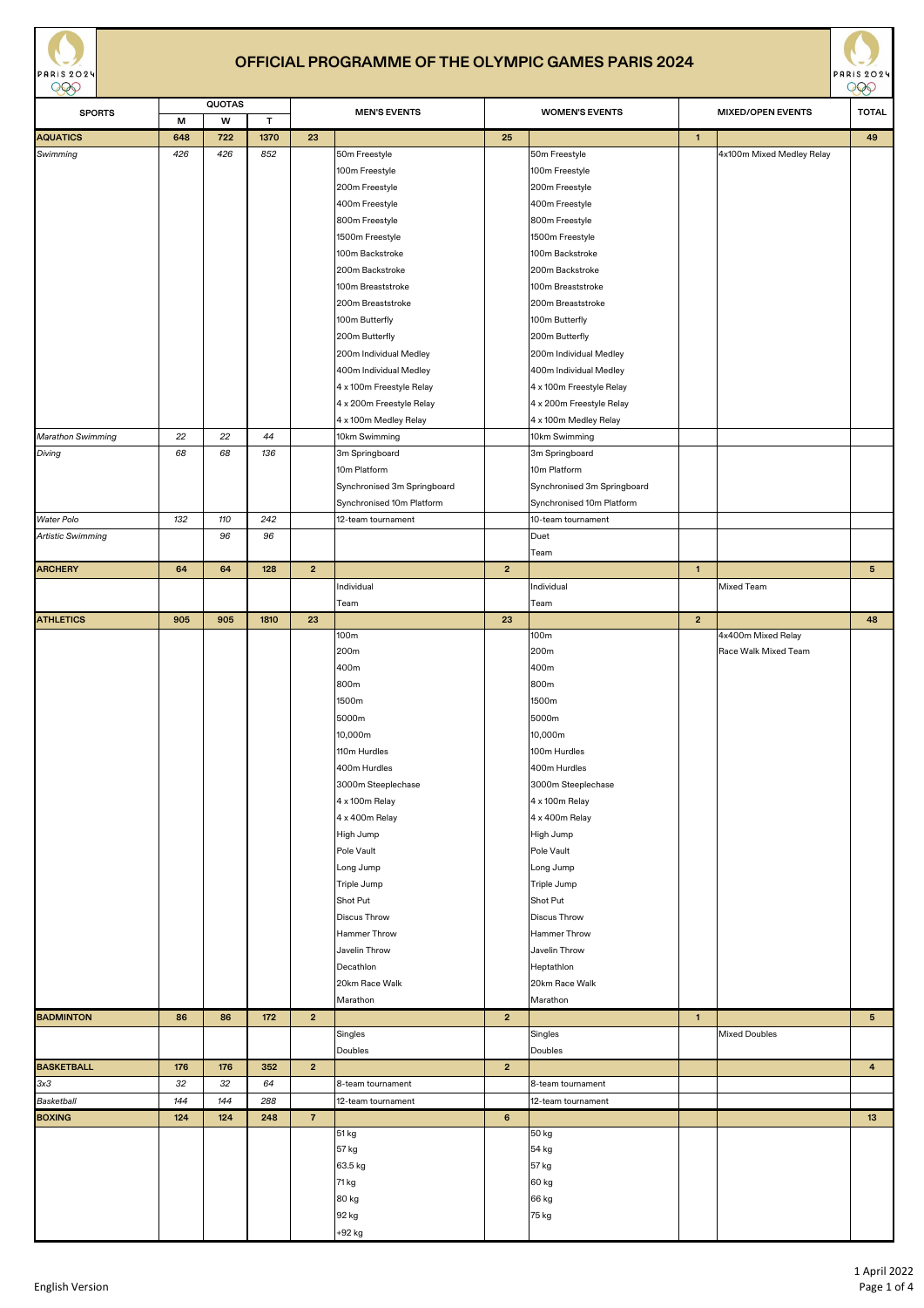| ${\bf W}$<br>T<br>М<br><b>AQUATICS</b><br>1370<br>23<br>25<br>49<br>648<br>722<br>$\overline{1}$<br>426<br>852<br>Swimming<br>426<br>50m Freestyle<br>50m Freestyle<br>4x100m Mixed Medley Relay<br>100m Freestyle<br>100m Freestyle<br>200m Freestyle<br>200m Freestyle<br>400m Freestyle<br>400m Freestyle<br>800m Freestyle<br>800m Freestyle<br>1500m Freestyle<br>1500m Freestyle<br>100m Backstroke<br>100m Backstroke<br>200m Backstroke<br>200m Backstroke<br>100m Breaststroke<br>100m Breaststroke<br>200m Breaststroke<br>200m Breaststroke<br>100m Butterfly<br>100m Butterfly<br>200m Butterfly<br>200m Butterfly<br>200m Individual Medley<br>200m Individual Medley<br>400m Individual Medley<br>400m Individual Medley<br>4 x 100m Freestyle Relay<br>4 x 100m Freestyle Relay<br>4 x 200m Freestyle Relay<br>4 x 200m Freestyle Relay<br>4 x 100m Medley Relay<br>4 x 100m Medley Relay<br>22<br>22<br>44<br>10km Swimming<br>10km Swimming<br>Marathon Swimming<br>Diving<br>68<br>68<br>136<br>3m Springboard<br>3m Springboard<br>10m Platform<br>10m Platform<br>Synchronised 3m Springboard<br>Synchronised 3m Springboard<br>Synchronised 10m Platform<br>Synchronised 10m Platform<br>242<br><b>Water Polo</b><br>132<br>110<br>12-team tournament<br>10-team tournament<br>96<br>96<br>Artistic Swimming<br>Duet<br>Team<br><b>ARCHERY</b><br>64<br>64<br>128<br>$\mathbf{2}$<br>$\mathbf{2}$<br>$5\phantom{.0}$<br>$\overline{1}$<br>Individual<br>Mixed Team<br>Individual<br>Team<br>Team<br>1810<br>23<br>23<br>$\overline{2}$<br>905<br>905<br>48<br>100m<br>100m<br>4x400m Mixed Relay<br>200m<br>200 <sub>m</sub><br>Race Walk Mixed Team<br>400m<br>400m<br>800m<br>800m<br>1500m<br>1500m<br>5000m<br>5000m<br>10,000m<br>10,000m<br>110m Hurdles<br>100m Hurdles<br>400m Hurdles<br>400m Hurdles<br>3000m Steeplechase<br>3000m Steeplechase<br>4 x 100m Relay<br>4 x 100m Relay<br>4 x 400m Relay<br>4 x 400m Relay<br>High Jump<br>High Jump<br>Pole Vault<br>Pole Vault<br>Long Jump<br>Long Jump<br>Triple Jump<br>Triple Jump<br>Shot Put<br>Shot Put<br><b>Discus Throw</b><br><b>Discus Throw</b><br><b>Hammer Throw</b><br>Hammer Throw<br>Javelin Throw<br>Javelin Throw<br>Decathlon<br>Heptathlon<br>20km Race Walk<br>20km Race Walk<br>Marathon<br>Marathon<br>86<br>86<br>2 <sub>2</sub><br>5 <sup>1</sup><br><b>BADMINTON</b><br>172<br>2 <sup>2</sup><br>$\mathbf{1}$<br>Singles<br>Singles<br><b>Mixed Doubles</b><br>Doubles<br>Doubles<br><b>BASKETBALL</b><br>176<br>176<br>352<br>$\overline{2}$<br>$\overline{2}$<br>$\overline{4}$<br>3x3<br>32<br>32<br>64<br>8-team tournament<br>8-team tournament<br>144<br>144<br>288<br>Basketball<br>12-team tournament<br>12-team tournament<br>$\overline{7}$<br>$6\phantom{.}$<br>13<br><b>BOXING</b><br>248<br>124<br>124<br>51 kg<br>50 kg<br>57 kg<br>54 kg<br>63.5 kg<br>57 kg<br>60 kg<br>71 kg<br>66 kg<br>80 kg<br>92 kg<br>75 kg<br>+92 kg | $\check{ }$<br><b>SPORTS</b> | <b>QUOTAS</b> | <b>MEN'S EVENTS</b> |  | <b>WOMEN'S EVENTS</b> | $\tilde{\phantom{a}}$<br><b>TOTAL</b><br><b>MIXED/OPEN EVENTS</b> |  |  |  |
|--------------------------------------------------------------------------------------------------------------------------------------------------------------------------------------------------------------------------------------------------------------------------------------------------------------------------------------------------------------------------------------------------------------------------------------------------------------------------------------------------------------------------------------------------------------------------------------------------------------------------------------------------------------------------------------------------------------------------------------------------------------------------------------------------------------------------------------------------------------------------------------------------------------------------------------------------------------------------------------------------------------------------------------------------------------------------------------------------------------------------------------------------------------------------------------------------------------------------------------------------------------------------------------------------------------------------------------------------------------------------------------------------------------------------------------------------------------------------------------------------------------------------------------------------------------------------------------------------------------------------------------------------------------------------------------------------------------------------------------------------------------------------------------------------------------------------------------------------------------------------------------------------------------------------------------------------------------------------------------------------------------------------------------------------------------------------------------------------------------------------------------------------------------------------------------------------------------------------------------------------------------------------------------------------------------------------------------------------------------------------------------------------------------------------------------------------------------------------------------------------------------------------------------------------------------------------------------------------------------------------------------------------------------------------------------------------------------------------------------------------------------------------------------------------------------------------------------------------------------------------------------------------------------------------------------------------------|------------------------------|---------------|---------------------|--|-----------------------|-------------------------------------------------------------------|--|--|--|
|                                                                                                                                                                                                                                                                                                                                                                                                                                                                                                                                                                                                                                                                                                                                                                                                                                                                                                                                                                                                                                                                                                                                                                                                                                                                                                                                                                                                                                                                                                                                                                                                                                                                                                                                                                                                                                                                                                                                                                                                                                                                                                                                                                                                                                                                                                                                                                                                                                                                                                                                                                                                                                                                                                                                                                                                                                                                                                                                                        |                              |               |                     |  |                       |                                                                   |  |  |  |
|                                                                                                                                                                                                                                                                                                                                                                                                                                                                                                                                                                                                                                                                                                                                                                                                                                                                                                                                                                                                                                                                                                                                                                                                                                                                                                                                                                                                                                                                                                                                                                                                                                                                                                                                                                                                                                                                                                                                                                                                                                                                                                                                                                                                                                                                                                                                                                                                                                                                                                                                                                                                                                                                                                                                                                                                                                                                                                                                                        |                              |               |                     |  |                       |                                                                   |  |  |  |
|                                                                                                                                                                                                                                                                                                                                                                                                                                                                                                                                                                                                                                                                                                                                                                                                                                                                                                                                                                                                                                                                                                                                                                                                                                                                                                                                                                                                                                                                                                                                                                                                                                                                                                                                                                                                                                                                                                                                                                                                                                                                                                                                                                                                                                                                                                                                                                                                                                                                                                                                                                                                                                                                                                                                                                                                                                                                                                                                                        |                              |               |                     |  |                       |                                                                   |  |  |  |
|                                                                                                                                                                                                                                                                                                                                                                                                                                                                                                                                                                                                                                                                                                                                                                                                                                                                                                                                                                                                                                                                                                                                                                                                                                                                                                                                                                                                                                                                                                                                                                                                                                                                                                                                                                                                                                                                                                                                                                                                                                                                                                                                                                                                                                                                                                                                                                                                                                                                                                                                                                                                                                                                                                                                                                                                                                                                                                                                                        |                              |               |                     |  |                       |                                                                   |  |  |  |
|                                                                                                                                                                                                                                                                                                                                                                                                                                                                                                                                                                                                                                                                                                                                                                                                                                                                                                                                                                                                                                                                                                                                                                                                                                                                                                                                                                                                                                                                                                                                                                                                                                                                                                                                                                                                                                                                                                                                                                                                                                                                                                                                                                                                                                                                                                                                                                                                                                                                                                                                                                                                                                                                                                                                                                                                                                                                                                                                                        |                              |               |                     |  |                       |                                                                   |  |  |  |
|                                                                                                                                                                                                                                                                                                                                                                                                                                                                                                                                                                                                                                                                                                                                                                                                                                                                                                                                                                                                                                                                                                                                                                                                                                                                                                                                                                                                                                                                                                                                                                                                                                                                                                                                                                                                                                                                                                                                                                                                                                                                                                                                                                                                                                                                                                                                                                                                                                                                                                                                                                                                                                                                                                                                                                                                                                                                                                                                                        |                              |               |                     |  |                       |                                                                   |  |  |  |
|                                                                                                                                                                                                                                                                                                                                                                                                                                                                                                                                                                                                                                                                                                                                                                                                                                                                                                                                                                                                                                                                                                                                                                                                                                                                                                                                                                                                                                                                                                                                                                                                                                                                                                                                                                                                                                                                                                                                                                                                                                                                                                                                                                                                                                                                                                                                                                                                                                                                                                                                                                                                                                                                                                                                                                                                                                                                                                                                                        |                              |               |                     |  |                       |                                                                   |  |  |  |
|                                                                                                                                                                                                                                                                                                                                                                                                                                                                                                                                                                                                                                                                                                                                                                                                                                                                                                                                                                                                                                                                                                                                                                                                                                                                                                                                                                                                                                                                                                                                                                                                                                                                                                                                                                                                                                                                                                                                                                                                                                                                                                                                                                                                                                                                                                                                                                                                                                                                                                                                                                                                                                                                                                                                                                                                                                                                                                                                                        |                              |               |                     |  |                       |                                                                   |  |  |  |
|                                                                                                                                                                                                                                                                                                                                                                                                                                                                                                                                                                                                                                                                                                                                                                                                                                                                                                                                                                                                                                                                                                                                                                                                                                                                                                                                                                                                                                                                                                                                                                                                                                                                                                                                                                                                                                                                                                                                                                                                                                                                                                                                                                                                                                                                                                                                                                                                                                                                                                                                                                                                                                                                                                                                                                                                                                                                                                                                                        |                              |               |                     |  |                       |                                                                   |  |  |  |
|                                                                                                                                                                                                                                                                                                                                                                                                                                                                                                                                                                                                                                                                                                                                                                                                                                                                                                                                                                                                                                                                                                                                                                                                                                                                                                                                                                                                                                                                                                                                                                                                                                                                                                                                                                                                                                                                                                                                                                                                                                                                                                                                                                                                                                                                                                                                                                                                                                                                                                                                                                                                                                                                                                                                                                                                                                                                                                                                                        |                              |               |                     |  |                       |                                                                   |  |  |  |
|                                                                                                                                                                                                                                                                                                                                                                                                                                                                                                                                                                                                                                                                                                                                                                                                                                                                                                                                                                                                                                                                                                                                                                                                                                                                                                                                                                                                                                                                                                                                                                                                                                                                                                                                                                                                                                                                                                                                                                                                                                                                                                                                                                                                                                                                                                                                                                                                                                                                                                                                                                                                                                                                                                                                                                                                                                                                                                                                                        |                              |               |                     |  |                       |                                                                   |  |  |  |
|                                                                                                                                                                                                                                                                                                                                                                                                                                                                                                                                                                                                                                                                                                                                                                                                                                                                                                                                                                                                                                                                                                                                                                                                                                                                                                                                                                                                                                                                                                                                                                                                                                                                                                                                                                                                                                                                                                                                                                                                                                                                                                                                                                                                                                                                                                                                                                                                                                                                                                                                                                                                                                                                                                                                                                                                                                                                                                                                                        |                              |               |                     |  |                       |                                                                   |  |  |  |
|                                                                                                                                                                                                                                                                                                                                                                                                                                                                                                                                                                                                                                                                                                                                                                                                                                                                                                                                                                                                                                                                                                                                                                                                                                                                                                                                                                                                                                                                                                                                                                                                                                                                                                                                                                                                                                                                                                                                                                                                                                                                                                                                                                                                                                                                                                                                                                                                                                                                                                                                                                                                                                                                                                                                                                                                                                                                                                                                                        |                              |               |                     |  |                       |                                                                   |  |  |  |
|                                                                                                                                                                                                                                                                                                                                                                                                                                                                                                                                                                                                                                                                                                                                                                                                                                                                                                                                                                                                                                                                                                                                                                                                                                                                                                                                                                                                                                                                                                                                                                                                                                                                                                                                                                                                                                                                                                                                                                                                                                                                                                                                                                                                                                                                                                                                                                                                                                                                                                                                                                                                                                                                                                                                                                                                                                                                                                                                                        |                              |               |                     |  |                       |                                                                   |  |  |  |
|                                                                                                                                                                                                                                                                                                                                                                                                                                                                                                                                                                                                                                                                                                                                                                                                                                                                                                                                                                                                                                                                                                                                                                                                                                                                                                                                                                                                                                                                                                                                                                                                                                                                                                                                                                                                                                                                                                                                                                                                                                                                                                                                                                                                                                                                                                                                                                                                                                                                                                                                                                                                                                                                                                                                                                                                                                                                                                                                                        |                              |               |                     |  |                       |                                                                   |  |  |  |
|                                                                                                                                                                                                                                                                                                                                                                                                                                                                                                                                                                                                                                                                                                                                                                                                                                                                                                                                                                                                                                                                                                                                                                                                                                                                                                                                                                                                                                                                                                                                                                                                                                                                                                                                                                                                                                                                                                                                                                                                                                                                                                                                                                                                                                                                                                                                                                                                                                                                                                                                                                                                                                                                                                                                                                                                                                                                                                                                                        |                              |               |                     |  |                       |                                                                   |  |  |  |
|                                                                                                                                                                                                                                                                                                                                                                                                                                                                                                                                                                                                                                                                                                                                                                                                                                                                                                                                                                                                                                                                                                                                                                                                                                                                                                                                                                                                                                                                                                                                                                                                                                                                                                                                                                                                                                                                                                                                                                                                                                                                                                                                                                                                                                                                                                                                                                                                                                                                                                                                                                                                                                                                                                                                                                                                                                                                                                                                                        |                              |               |                     |  |                       |                                                                   |  |  |  |
|                                                                                                                                                                                                                                                                                                                                                                                                                                                                                                                                                                                                                                                                                                                                                                                                                                                                                                                                                                                                                                                                                                                                                                                                                                                                                                                                                                                                                                                                                                                                                                                                                                                                                                                                                                                                                                                                                                                                                                                                                                                                                                                                                                                                                                                                                                                                                                                                                                                                                                                                                                                                                                                                                                                                                                                                                                                                                                                                                        |                              |               |                     |  |                       |                                                                   |  |  |  |
|                                                                                                                                                                                                                                                                                                                                                                                                                                                                                                                                                                                                                                                                                                                                                                                                                                                                                                                                                                                                                                                                                                                                                                                                                                                                                                                                                                                                                                                                                                                                                                                                                                                                                                                                                                                                                                                                                                                                                                                                                                                                                                                                                                                                                                                                                                                                                                                                                                                                                                                                                                                                                                                                                                                                                                                                                                                                                                                                                        |                              |               |                     |  |                       |                                                                   |  |  |  |
|                                                                                                                                                                                                                                                                                                                                                                                                                                                                                                                                                                                                                                                                                                                                                                                                                                                                                                                                                                                                                                                                                                                                                                                                                                                                                                                                                                                                                                                                                                                                                                                                                                                                                                                                                                                                                                                                                                                                                                                                                                                                                                                                                                                                                                                                                                                                                                                                                                                                                                                                                                                                                                                                                                                                                                                                                                                                                                                                                        |                              |               |                     |  |                       |                                                                   |  |  |  |
|                                                                                                                                                                                                                                                                                                                                                                                                                                                                                                                                                                                                                                                                                                                                                                                                                                                                                                                                                                                                                                                                                                                                                                                                                                                                                                                                                                                                                                                                                                                                                                                                                                                                                                                                                                                                                                                                                                                                                                                                                                                                                                                                                                                                                                                                                                                                                                                                                                                                                                                                                                                                                                                                                                                                                                                                                                                                                                                                                        |                              |               |                     |  |                       |                                                                   |  |  |  |
|                                                                                                                                                                                                                                                                                                                                                                                                                                                                                                                                                                                                                                                                                                                                                                                                                                                                                                                                                                                                                                                                                                                                                                                                                                                                                                                                                                                                                                                                                                                                                                                                                                                                                                                                                                                                                                                                                                                                                                                                                                                                                                                                                                                                                                                                                                                                                                                                                                                                                                                                                                                                                                                                                                                                                                                                                                                                                                                                                        |                              |               |                     |  |                       |                                                                   |  |  |  |
|                                                                                                                                                                                                                                                                                                                                                                                                                                                                                                                                                                                                                                                                                                                                                                                                                                                                                                                                                                                                                                                                                                                                                                                                                                                                                                                                                                                                                                                                                                                                                                                                                                                                                                                                                                                                                                                                                                                                                                                                                                                                                                                                                                                                                                                                                                                                                                                                                                                                                                                                                                                                                                                                                                                                                                                                                                                                                                                                                        |                              |               |                     |  |                       |                                                                   |  |  |  |
|                                                                                                                                                                                                                                                                                                                                                                                                                                                                                                                                                                                                                                                                                                                                                                                                                                                                                                                                                                                                                                                                                                                                                                                                                                                                                                                                                                                                                                                                                                                                                                                                                                                                                                                                                                                                                                                                                                                                                                                                                                                                                                                                                                                                                                                                                                                                                                                                                                                                                                                                                                                                                                                                                                                                                                                                                                                                                                                                                        |                              |               |                     |  |                       |                                                                   |  |  |  |
|                                                                                                                                                                                                                                                                                                                                                                                                                                                                                                                                                                                                                                                                                                                                                                                                                                                                                                                                                                                                                                                                                                                                                                                                                                                                                                                                                                                                                                                                                                                                                                                                                                                                                                                                                                                                                                                                                                                                                                                                                                                                                                                                                                                                                                                                                                                                                                                                                                                                                                                                                                                                                                                                                                                                                                                                                                                                                                                                                        |                              |               |                     |  |                       |                                                                   |  |  |  |
|                                                                                                                                                                                                                                                                                                                                                                                                                                                                                                                                                                                                                                                                                                                                                                                                                                                                                                                                                                                                                                                                                                                                                                                                                                                                                                                                                                                                                                                                                                                                                                                                                                                                                                                                                                                                                                                                                                                                                                                                                                                                                                                                                                                                                                                                                                                                                                                                                                                                                                                                                                                                                                                                                                                                                                                                                                                                                                                                                        |                              |               |                     |  |                       |                                                                   |  |  |  |
|                                                                                                                                                                                                                                                                                                                                                                                                                                                                                                                                                                                                                                                                                                                                                                                                                                                                                                                                                                                                                                                                                                                                                                                                                                                                                                                                                                                                                                                                                                                                                                                                                                                                                                                                                                                                                                                                                                                                                                                                                                                                                                                                                                                                                                                                                                                                                                                                                                                                                                                                                                                                                                                                                                                                                                                                                                                                                                                                                        |                              |               |                     |  |                       |                                                                   |  |  |  |
|                                                                                                                                                                                                                                                                                                                                                                                                                                                                                                                                                                                                                                                                                                                                                                                                                                                                                                                                                                                                                                                                                                                                                                                                                                                                                                                                                                                                                                                                                                                                                                                                                                                                                                                                                                                                                                                                                                                                                                                                                                                                                                                                                                                                                                                                                                                                                                                                                                                                                                                                                                                                                                                                                                                                                                                                                                                                                                                                                        |                              |               |                     |  |                       |                                                                   |  |  |  |
|                                                                                                                                                                                                                                                                                                                                                                                                                                                                                                                                                                                                                                                                                                                                                                                                                                                                                                                                                                                                                                                                                                                                                                                                                                                                                                                                                                                                                                                                                                                                                                                                                                                                                                                                                                                                                                                                                                                                                                                                                                                                                                                                                                                                                                                                                                                                                                                                                                                                                                                                                                                                                                                                                                                                                                                                                                                                                                                                                        |                              |               |                     |  |                       |                                                                   |  |  |  |
|                                                                                                                                                                                                                                                                                                                                                                                                                                                                                                                                                                                                                                                                                                                                                                                                                                                                                                                                                                                                                                                                                                                                                                                                                                                                                                                                                                                                                                                                                                                                                                                                                                                                                                                                                                                                                                                                                                                                                                                                                                                                                                                                                                                                                                                                                                                                                                                                                                                                                                                                                                                                                                                                                                                                                                                                                                                                                                                                                        | <b>ATHLETICS</b>             |               |                     |  |                       |                                                                   |  |  |  |
|                                                                                                                                                                                                                                                                                                                                                                                                                                                                                                                                                                                                                                                                                                                                                                                                                                                                                                                                                                                                                                                                                                                                                                                                                                                                                                                                                                                                                                                                                                                                                                                                                                                                                                                                                                                                                                                                                                                                                                                                                                                                                                                                                                                                                                                                                                                                                                                                                                                                                                                                                                                                                                                                                                                                                                                                                                                                                                                                                        |                              |               |                     |  |                       |                                                                   |  |  |  |
|                                                                                                                                                                                                                                                                                                                                                                                                                                                                                                                                                                                                                                                                                                                                                                                                                                                                                                                                                                                                                                                                                                                                                                                                                                                                                                                                                                                                                                                                                                                                                                                                                                                                                                                                                                                                                                                                                                                                                                                                                                                                                                                                                                                                                                                                                                                                                                                                                                                                                                                                                                                                                                                                                                                                                                                                                                                                                                                                                        |                              |               |                     |  |                       |                                                                   |  |  |  |
|                                                                                                                                                                                                                                                                                                                                                                                                                                                                                                                                                                                                                                                                                                                                                                                                                                                                                                                                                                                                                                                                                                                                                                                                                                                                                                                                                                                                                                                                                                                                                                                                                                                                                                                                                                                                                                                                                                                                                                                                                                                                                                                                                                                                                                                                                                                                                                                                                                                                                                                                                                                                                                                                                                                                                                                                                                                                                                                                                        |                              |               |                     |  |                       |                                                                   |  |  |  |
|                                                                                                                                                                                                                                                                                                                                                                                                                                                                                                                                                                                                                                                                                                                                                                                                                                                                                                                                                                                                                                                                                                                                                                                                                                                                                                                                                                                                                                                                                                                                                                                                                                                                                                                                                                                                                                                                                                                                                                                                                                                                                                                                                                                                                                                                                                                                                                                                                                                                                                                                                                                                                                                                                                                                                                                                                                                                                                                                                        |                              |               |                     |  |                       |                                                                   |  |  |  |
|                                                                                                                                                                                                                                                                                                                                                                                                                                                                                                                                                                                                                                                                                                                                                                                                                                                                                                                                                                                                                                                                                                                                                                                                                                                                                                                                                                                                                                                                                                                                                                                                                                                                                                                                                                                                                                                                                                                                                                                                                                                                                                                                                                                                                                                                                                                                                                                                                                                                                                                                                                                                                                                                                                                                                                                                                                                                                                                                                        |                              |               |                     |  |                       |                                                                   |  |  |  |
|                                                                                                                                                                                                                                                                                                                                                                                                                                                                                                                                                                                                                                                                                                                                                                                                                                                                                                                                                                                                                                                                                                                                                                                                                                                                                                                                                                                                                                                                                                                                                                                                                                                                                                                                                                                                                                                                                                                                                                                                                                                                                                                                                                                                                                                                                                                                                                                                                                                                                                                                                                                                                                                                                                                                                                                                                                                                                                                                                        |                              |               |                     |  |                       |                                                                   |  |  |  |
|                                                                                                                                                                                                                                                                                                                                                                                                                                                                                                                                                                                                                                                                                                                                                                                                                                                                                                                                                                                                                                                                                                                                                                                                                                                                                                                                                                                                                                                                                                                                                                                                                                                                                                                                                                                                                                                                                                                                                                                                                                                                                                                                                                                                                                                                                                                                                                                                                                                                                                                                                                                                                                                                                                                                                                                                                                                                                                                                                        |                              |               |                     |  |                       |                                                                   |  |  |  |
|                                                                                                                                                                                                                                                                                                                                                                                                                                                                                                                                                                                                                                                                                                                                                                                                                                                                                                                                                                                                                                                                                                                                                                                                                                                                                                                                                                                                                                                                                                                                                                                                                                                                                                                                                                                                                                                                                                                                                                                                                                                                                                                                                                                                                                                                                                                                                                                                                                                                                                                                                                                                                                                                                                                                                                                                                                                                                                                                                        |                              |               |                     |  |                       |                                                                   |  |  |  |
|                                                                                                                                                                                                                                                                                                                                                                                                                                                                                                                                                                                                                                                                                                                                                                                                                                                                                                                                                                                                                                                                                                                                                                                                                                                                                                                                                                                                                                                                                                                                                                                                                                                                                                                                                                                                                                                                                                                                                                                                                                                                                                                                                                                                                                                                                                                                                                                                                                                                                                                                                                                                                                                                                                                                                                                                                                                                                                                                                        |                              |               |                     |  |                       |                                                                   |  |  |  |
|                                                                                                                                                                                                                                                                                                                                                                                                                                                                                                                                                                                                                                                                                                                                                                                                                                                                                                                                                                                                                                                                                                                                                                                                                                                                                                                                                                                                                                                                                                                                                                                                                                                                                                                                                                                                                                                                                                                                                                                                                                                                                                                                                                                                                                                                                                                                                                                                                                                                                                                                                                                                                                                                                                                                                                                                                                                                                                                                                        |                              |               |                     |  |                       |                                                                   |  |  |  |
|                                                                                                                                                                                                                                                                                                                                                                                                                                                                                                                                                                                                                                                                                                                                                                                                                                                                                                                                                                                                                                                                                                                                                                                                                                                                                                                                                                                                                                                                                                                                                                                                                                                                                                                                                                                                                                                                                                                                                                                                                                                                                                                                                                                                                                                                                                                                                                                                                                                                                                                                                                                                                                                                                                                                                                                                                                                                                                                                                        |                              |               |                     |  |                       |                                                                   |  |  |  |
|                                                                                                                                                                                                                                                                                                                                                                                                                                                                                                                                                                                                                                                                                                                                                                                                                                                                                                                                                                                                                                                                                                                                                                                                                                                                                                                                                                                                                                                                                                                                                                                                                                                                                                                                                                                                                                                                                                                                                                                                                                                                                                                                                                                                                                                                                                                                                                                                                                                                                                                                                                                                                                                                                                                                                                                                                                                                                                                                                        |                              |               |                     |  |                       |                                                                   |  |  |  |
|                                                                                                                                                                                                                                                                                                                                                                                                                                                                                                                                                                                                                                                                                                                                                                                                                                                                                                                                                                                                                                                                                                                                                                                                                                                                                                                                                                                                                                                                                                                                                                                                                                                                                                                                                                                                                                                                                                                                                                                                                                                                                                                                                                                                                                                                                                                                                                                                                                                                                                                                                                                                                                                                                                                                                                                                                                                                                                                                                        |                              |               |                     |  |                       |                                                                   |  |  |  |
|                                                                                                                                                                                                                                                                                                                                                                                                                                                                                                                                                                                                                                                                                                                                                                                                                                                                                                                                                                                                                                                                                                                                                                                                                                                                                                                                                                                                                                                                                                                                                                                                                                                                                                                                                                                                                                                                                                                                                                                                                                                                                                                                                                                                                                                                                                                                                                                                                                                                                                                                                                                                                                                                                                                                                                                                                                                                                                                                                        |                              |               |                     |  |                       |                                                                   |  |  |  |
|                                                                                                                                                                                                                                                                                                                                                                                                                                                                                                                                                                                                                                                                                                                                                                                                                                                                                                                                                                                                                                                                                                                                                                                                                                                                                                                                                                                                                                                                                                                                                                                                                                                                                                                                                                                                                                                                                                                                                                                                                                                                                                                                                                                                                                                                                                                                                                                                                                                                                                                                                                                                                                                                                                                                                                                                                                                                                                                                                        |                              |               |                     |  |                       |                                                                   |  |  |  |
|                                                                                                                                                                                                                                                                                                                                                                                                                                                                                                                                                                                                                                                                                                                                                                                                                                                                                                                                                                                                                                                                                                                                                                                                                                                                                                                                                                                                                                                                                                                                                                                                                                                                                                                                                                                                                                                                                                                                                                                                                                                                                                                                                                                                                                                                                                                                                                                                                                                                                                                                                                                                                                                                                                                                                                                                                                                                                                                                                        |                              |               |                     |  |                       |                                                                   |  |  |  |
|                                                                                                                                                                                                                                                                                                                                                                                                                                                                                                                                                                                                                                                                                                                                                                                                                                                                                                                                                                                                                                                                                                                                                                                                                                                                                                                                                                                                                                                                                                                                                                                                                                                                                                                                                                                                                                                                                                                                                                                                                                                                                                                                                                                                                                                                                                                                                                                                                                                                                                                                                                                                                                                                                                                                                                                                                                                                                                                                                        |                              |               |                     |  |                       |                                                                   |  |  |  |
|                                                                                                                                                                                                                                                                                                                                                                                                                                                                                                                                                                                                                                                                                                                                                                                                                                                                                                                                                                                                                                                                                                                                                                                                                                                                                                                                                                                                                                                                                                                                                                                                                                                                                                                                                                                                                                                                                                                                                                                                                                                                                                                                                                                                                                                                                                                                                                                                                                                                                                                                                                                                                                                                                                                                                                                                                                                                                                                                                        |                              |               |                     |  |                       |                                                                   |  |  |  |
|                                                                                                                                                                                                                                                                                                                                                                                                                                                                                                                                                                                                                                                                                                                                                                                                                                                                                                                                                                                                                                                                                                                                                                                                                                                                                                                                                                                                                                                                                                                                                                                                                                                                                                                                                                                                                                                                                                                                                                                                                                                                                                                                                                                                                                                                                                                                                                                                                                                                                                                                                                                                                                                                                                                                                                                                                                                                                                                                                        |                              |               |                     |  |                       |                                                                   |  |  |  |
|                                                                                                                                                                                                                                                                                                                                                                                                                                                                                                                                                                                                                                                                                                                                                                                                                                                                                                                                                                                                                                                                                                                                                                                                                                                                                                                                                                                                                                                                                                                                                                                                                                                                                                                                                                                                                                                                                                                                                                                                                                                                                                                                                                                                                                                                                                                                                                                                                                                                                                                                                                                                                                                                                                                                                                                                                                                                                                                                                        |                              |               |                     |  |                       |                                                                   |  |  |  |
|                                                                                                                                                                                                                                                                                                                                                                                                                                                                                                                                                                                                                                                                                                                                                                                                                                                                                                                                                                                                                                                                                                                                                                                                                                                                                                                                                                                                                                                                                                                                                                                                                                                                                                                                                                                                                                                                                                                                                                                                                                                                                                                                                                                                                                                                                                                                                                                                                                                                                                                                                                                                                                                                                                                                                                                                                                                                                                                                                        |                              |               |                     |  |                       |                                                                   |  |  |  |
|                                                                                                                                                                                                                                                                                                                                                                                                                                                                                                                                                                                                                                                                                                                                                                                                                                                                                                                                                                                                                                                                                                                                                                                                                                                                                                                                                                                                                                                                                                                                                                                                                                                                                                                                                                                                                                                                                                                                                                                                                                                                                                                                                                                                                                                                                                                                                                                                                                                                                                                                                                                                                                                                                                                                                                                                                                                                                                                                                        |                              |               |                     |  |                       |                                                                   |  |  |  |
|                                                                                                                                                                                                                                                                                                                                                                                                                                                                                                                                                                                                                                                                                                                                                                                                                                                                                                                                                                                                                                                                                                                                                                                                                                                                                                                                                                                                                                                                                                                                                                                                                                                                                                                                                                                                                                                                                                                                                                                                                                                                                                                                                                                                                                                                                                                                                                                                                                                                                                                                                                                                                                                                                                                                                                                                                                                                                                                                                        |                              |               |                     |  |                       |                                                                   |  |  |  |
|                                                                                                                                                                                                                                                                                                                                                                                                                                                                                                                                                                                                                                                                                                                                                                                                                                                                                                                                                                                                                                                                                                                                                                                                                                                                                                                                                                                                                                                                                                                                                                                                                                                                                                                                                                                                                                                                                                                                                                                                                                                                                                                                                                                                                                                                                                                                                                                                                                                                                                                                                                                                                                                                                                                                                                                                                                                                                                                                                        |                              |               |                     |  |                       |                                                                   |  |  |  |
|                                                                                                                                                                                                                                                                                                                                                                                                                                                                                                                                                                                                                                                                                                                                                                                                                                                                                                                                                                                                                                                                                                                                                                                                                                                                                                                                                                                                                                                                                                                                                                                                                                                                                                                                                                                                                                                                                                                                                                                                                                                                                                                                                                                                                                                                                                                                                                                                                                                                                                                                                                                                                                                                                                                                                                                                                                                                                                                                                        |                              |               |                     |  |                       |                                                                   |  |  |  |
|                                                                                                                                                                                                                                                                                                                                                                                                                                                                                                                                                                                                                                                                                                                                                                                                                                                                                                                                                                                                                                                                                                                                                                                                                                                                                                                                                                                                                                                                                                                                                                                                                                                                                                                                                                                                                                                                                                                                                                                                                                                                                                                                                                                                                                                                                                                                                                                                                                                                                                                                                                                                                                                                                                                                                                                                                                                                                                                                                        |                              |               |                     |  |                       |                                                                   |  |  |  |
|                                                                                                                                                                                                                                                                                                                                                                                                                                                                                                                                                                                                                                                                                                                                                                                                                                                                                                                                                                                                                                                                                                                                                                                                                                                                                                                                                                                                                                                                                                                                                                                                                                                                                                                                                                                                                                                                                                                                                                                                                                                                                                                                                                                                                                                                                                                                                                                                                                                                                                                                                                                                                                                                                                                                                                                                                                                                                                                                                        |                              |               |                     |  |                       |                                                                   |  |  |  |
|                                                                                                                                                                                                                                                                                                                                                                                                                                                                                                                                                                                                                                                                                                                                                                                                                                                                                                                                                                                                                                                                                                                                                                                                                                                                                                                                                                                                                                                                                                                                                                                                                                                                                                                                                                                                                                                                                                                                                                                                                                                                                                                                                                                                                                                                                                                                                                                                                                                                                                                                                                                                                                                                                                                                                                                                                                                                                                                                                        |                              |               |                     |  |                       |                                                                   |  |  |  |
|                                                                                                                                                                                                                                                                                                                                                                                                                                                                                                                                                                                                                                                                                                                                                                                                                                                                                                                                                                                                                                                                                                                                                                                                                                                                                                                                                                                                                                                                                                                                                                                                                                                                                                                                                                                                                                                                                                                                                                                                                                                                                                                                                                                                                                                                                                                                                                                                                                                                                                                                                                                                                                                                                                                                                                                                                                                                                                                                                        |                              |               |                     |  |                       |                                                                   |  |  |  |
|                                                                                                                                                                                                                                                                                                                                                                                                                                                                                                                                                                                                                                                                                                                                                                                                                                                                                                                                                                                                                                                                                                                                                                                                                                                                                                                                                                                                                                                                                                                                                                                                                                                                                                                                                                                                                                                                                                                                                                                                                                                                                                                                                                                                                                                                                                                                                                                                                                                                                                                                                                                                                                                                                                                                                                                                                                                                                                                                                        |                              |               |                     |  |                       |                                                                   |  |  |  |
|                                                                                                                                                                                                                                                                                                                                                                                                                                                                                                                                                                                                                                                                                                                                                                                                                                                                                                                                                                                                                                                                                                                                                                                                                                                                                                                                                                                                                                                                                                                                                                                                                                                                                                                                                                                                                                                                                                                                                                                                                                                                                                                                                                                                                                                                                                                                                                                                                                                                                                                                                                                                                                                                                                                                                                                                                                                                                                                                                        |                              |               |                     |  |                       |                                                                   |  |  |  |
|                                                                                                                                                                                                                                                                                                                                                                                                                                                                                                                                                                                                                                                                                                                                                                                                                                                                                                                                                                                                                                                                                                                                                                                                                                                                                                                                                                                                                                                                                                                                                                                                                                                                                                                                                                                                                                                                                                                                                                                                                                                                                                                                                                                                                                                                                                                                                                                                                                                                                                                                                                                                                                                                                                                                                                                                                                                                                                                                                        |                              |               |                     |  |                       |                                                                   |  |  |  |
|                                                                                                                                                                                                                                                                                                                                                                                                                                                                                                                                                                                                                                                                                                                                                                                                                                                                                                                                                                                                                                                                                                                                                                                                                                                                                                                                                                                                                                                                                                                                                                                                                                                                                                                                                                                                                                                                                                                                                                                                                                                                                                                                                                                                                                                                                                                                                                                                                                                                                                                                                                                                                                                                                                                                                                                                                                                                                                                                                        |                              |               |                     |  |                       |                                                                   |  |  |  |
|                                                                                                                                                                                                                                                                                                                                                                                                                                                                                                                                                                                                                                                                                                                                                                                                                                                                                                                                                                                                                                                                                                                                                                                                                                                                                                                                                                                                                                                                                                                                                                                                                                                                                                                                                                                                                                                                                                                                                                                                                                                                                                                                                                                                                                                                                                                                                                                                                                                                                                                                                                                                                                                                                                                                                                                                                                                                                                                                                        |                              |               |                     |  |                       |                                                                   |  |  |  |
|                                                                                                                                                                                                                                                                                                                                                                                                                                                                                                                                                                                                                                                                                                                                                                                                                                                                                                                                                                                                                                                                                                                                                                                                                                                                                                                                                                                                                                                                                                                                                                                                                                                                                                                                                                                                                                                                                                                                                                                                                                                                                                                                                                                                                                                                                                                                                                                                                                                                                                                                                                                                                                                                                                                                                                                                                                                                                                                                                        |                              |               |                     |  |                       |                                                                   |  |  |  |
|                                                                                                                                                                                                                                                                                                                                                                                                                                                                                                                                                                                                                                                                                                                                                                                                                                                                                                                                                                                                                                                                                                                                                                                                                                                                                                                                                                                                                                                                                                                                                                                                                                                                                                                                                                                                                                                                                                                                                                                                                                                                                                                                                                                                                                                                                                                                                                                                                                                                                                                                                                                                                                                                                                                                                                                                                                                                                                                                                        |                              |               |                     |  |                       |                                                                   |  |  |  |
|                                                                                                                                                                                                                                                                                                                                                                                                                                                                                                                                                                                                                                                                                                                                                                                                                                                                                                                                                                                                                                                                                                                                                                                                                                                                                                                                                                                                                                                                                                                                                                                                                                                                                                                                                                                                                                                                                                                                                                                                                                                                                                                                                                                                                                                                                                                                                                                                                                                                                                                                                                                                                                                                                                                                                                                                                                                                                                                                                        |                              |               |                     |  |                       |                                                                   |  |  |  |



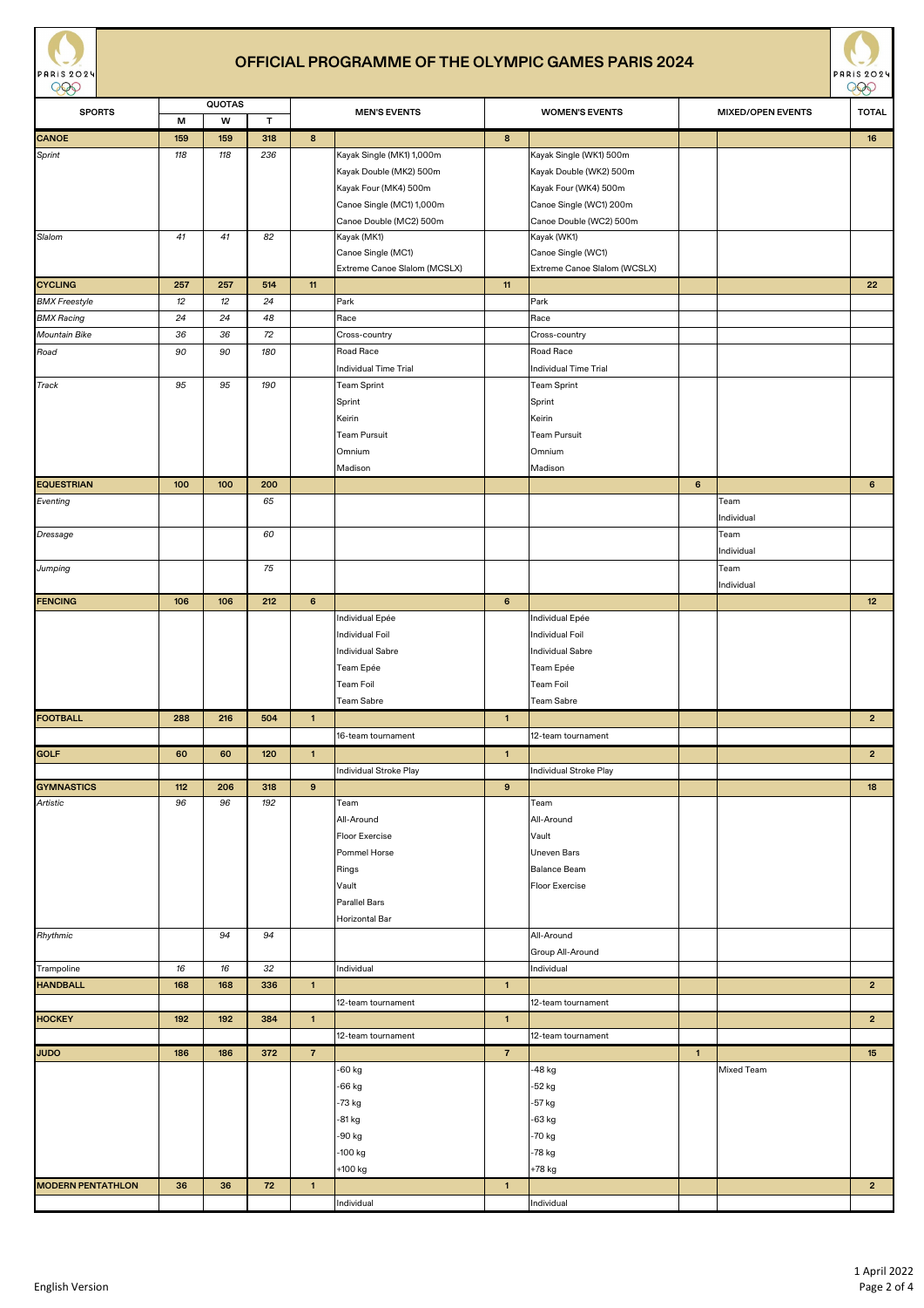



| $\smash{\smash{\cup}}$   |     | <b>QUOTAS</b> |              |                |                              |                |                              |                | $\smash{\smash{\cup}}$   |                |
|--------------------------|-----|---------------|--------------|----------------|------------------------------|----------------|------------------------------|----------------|--------------------------|----------------|
| <b>SPORTS</b>            | M   | w             | $\mathsf{T}$ |                | <b>MEN'S EVENTS</b>          |                | <b>WOMEN'S EVENTS</b>        |                | <b>MIXED/OPEN EVENTS</b> | <b>TOTAL</b>   |
| <b>CANOE</b>             | 159 | 159           | 318          | 8 <sup>°</sup> |                              | 8              |                              |                |                          | 16             |
| Sprint                   | 118 | 118           | 236          |                | Kayak Single (MK1) 1,000m    |                | Kayak Single (WK1) 500m      |                |                          |                |
|                          |     |               |              |                | Kayak Double (MK2) 500m      |                | Kayak Double (WK2) 500m      |                |                          |                |
|                          |     |               |              |                | Kayak Four (MK4) 500m        |                | Kayak Four (WK4) 500m        |                |                          |                |
|                          |     |               |              |                | Canoe Single (MC1) 1,000m    |                | Canoe Single (WC1) 200m      |                |                          |                |
|                          |     |               |              |                | Canoe Double (MC2) 500m      |                | Canoe Double (WC2) 500m      |                |                          |                |
| Slalom                   | 41  | 41            | 82           |                | Kayak (MK1)                  |                | Kayak (WK1)                  |                |                          |                |
|                          |     |               |              |                | Canoe Single (MC1)           |                | Canoe Single (WC1)           |                |                          |                |
|                          |     |               |              |                | Extreme Canoe Slalom (MCSLX) |                | Extreme Canoe Slalom (WCSLX) |                |                          |                |
| <b>CYCLING</b>           | 257 | 257           | 514          | 11             |                              | 11             |                              |                |                          | 22             |
| <b>BMX</b> Freestyle     | 12  | 12            | 24           |                | Park                         |                | Park                         |                |                          |                |
| <b>BMX Racing</b>        | 24  | 24            | 48           |                | Race                         |                | Race                         |                |                          |                |
| <b>Mountain Bike</b>     | 36  | 36            | 72           |                | Cross-country                |                | Cross-country                |                |                          |                |
| Road                     | 90  | 90            | 180          |                | Road Race                    |                | Road Race                    |                |                          |                |
|                          |     |               |              |                | Individual Time Trial        |                | Individual Time Trial        |                |                          |                |
| Track                    | 95  | 95            | 190          |                | Team Sprint                  |                | <b>Team Sprint</b>           |                |                          |                |
|                          |     |               |              |                | Sprint                       |                | Sprint                       |                |                          |                |
|                          |     |               |              |                | Keirin                       |                | Keirin                       |                |                          |                |
|                          |     |               |              |                | Team Pursuit                 |                | <b>Team Pursuit</b>          |                |                          |                |
|                          |     |               |              |                | Omnium                       |                | Omnium                       |                |                          |                |
|                          |     |               |              |                | Madison                      |                | Madison                      |                |                          |                |
| <b>EQUESTRIAN</b>        | 100 | 100           | 200          |                |                              |                |                              | $6\phantom{1}$ |                          | 6 <sup>1</sup> |
| Eventing                 |     |               | 65           |                |                              |                |                              |                | Team                     |                |
|                          |     |               |              |                |                              |                |                              |                | Individual               |                |
| <b>Dressage</b>          |     |               | 60           |                |                              |                |                              |                | Team                     |                |
|                          |     |               |              |                |                              |                |                              |                | Individual               |                |
| Jumping                  |     |               | 75           |                |                              |                |                              |                | Team                     |                |
|                          |     |               |              |                |                              |                |                              |                | Individual               |                |
| <b>FENCING</b>           | 106 | 106           | 212          | 6              |                              | $6\phantom{1}$ |                              |                |                          | 12             |
|                          |     |               |              |                | Individual Epée              |                | Individual Epée              |                |                          |                |
|                          |     |               |              |                | Individual Foil              |                | Individual Foil              |                |                          |                |
|                          |     |               |              |                | <b>Individual Sabre</b>      |                | Individual Sabre             |                |                          |                |
|                          |     |               |              |                | Team Epée                    |                | Team Epée                    |                |                          |                |
|                          |     |               |              |                | Team Foil                    |                | Team Foil                    |                |                          |                |
|                          |     |               |              |                | Team Sabre                   |                | Team Sabre                   |                |                          |                |
| <b>FOOTBALL</b>          | 288 | 216           | 504          | $\mathbf{1}$   |                              | $\mathbf{1}$   |                              |                |                          | $2^{\circ}$    |
|                          |     |               |              |                | 16-team tournament           |                | 12-team tournament           |                |                          |                |
| <b>GOLF</b>              | 60  | 60            | 120          | $\mathbf{1}$   |                              | $\vert$ 1      |                              |                |                          | $2^{\circ}$    |
|                          |     |               |              |                | Individual Stroke Play       |                | Individual Stroke Play       |                |                          |                |
| <b>GYMNASTICS</b>        | 112 | 206           | 318          | 9              |                              | 9              |                              |                |                          | 18             |
| Artistic                 | 96  | 96            | 192          |                | Team                         |                | Team                         |                |                          |                |
|                          |     |               |              |                | All-Around                   |                | All-Around                   |                |                          |                |
|                          |     |               |              |                | Floor Exercise               |                | Vault                        |                |                          |                |
|                          |     |               |              |                | Pommel Horse                 |                | <b>Uneven Bars</b>           |                |                          |                |
|                          |     |               |              |                | Rings                        |                | Balance Beam                 |                |                          |                |
|                          |     |               |              |                | Vault                        |                | Floor Exercise               |                |                          |                |
|                          |     |               |              |                | <b>Parallel Bars</b>         |                |                              |                |                          |                |
|                          |     |               |              |                | Horizontal Bar               |                |                              |                |                          |                |
| Rhythmic                 |     | 94            | 94           |                |                              |                | All-Around                   |                |                          |                |
|                          |     |               |              |                |                              |                | Group All-Around             |                |                          |                |
| Trampoline               | 16  | 16            | 32           |                | Individual                   |                | Individual                   |                |                          |                |
| <b>HANDBALL</b>          | 168 | 168           | 336          | $\vert$ 1      |                              | $\overline{1}$ |                              |                |                          | 2 <sub>1</sub> |
|                          |     |               |              |                | 12-team tournament           |                | 12-team tournament           |                |                          |                |
| <b>HOCKEY</b>            | 192 | 192           | 384          | $\vert$ 1      |                              | $\mathbf{1}$   |                              |                |                          | $2^{\circ}$    |
|                          |     |               |              |                | 12-team tournament           |                | 12-team tournament           |                |                          |                |
| <b>JUDO</b>              | 186 | 186           | 372          | $\overline{7}$ |                              | $\overline{7}$ |                              | $\overline{1}$ |                          | 15             |
|                          |     |               |              |                | -60 kg                       |                | -48 kg                       |                | Mixed Team               |                |
|                          |     |               |              |                | -66 kg                       |                | -52 kg                       |                |                          |                |
|                          |     |               |              |                | -73 kg                       |                | -57 kg                       |                |                          |                |
|                          |     |               |              |                | -81 kg                       |                | -63 kg                       |                |                          |                |
|                          |     |               |              |                | -90 kg                       |                | -70 kg                       |                |                          |                |
|                          |     |               |              |                | -100 kg                      |                | -78 kg                       |                |                          |                |
|                          |     |               |              |                | +100 kg                      |                | +78 kg                       |                |                          |                |
| <b>MODERN PENTATHLON</b> | 36  | 36            | 72           | $\vert$ 1      |                              | $\mathbf{1}$   |                              |                |                          | $\overline{2}$ |
|                          |     |               |              |                | Individual                   |                | Individual                   |                |                          |                |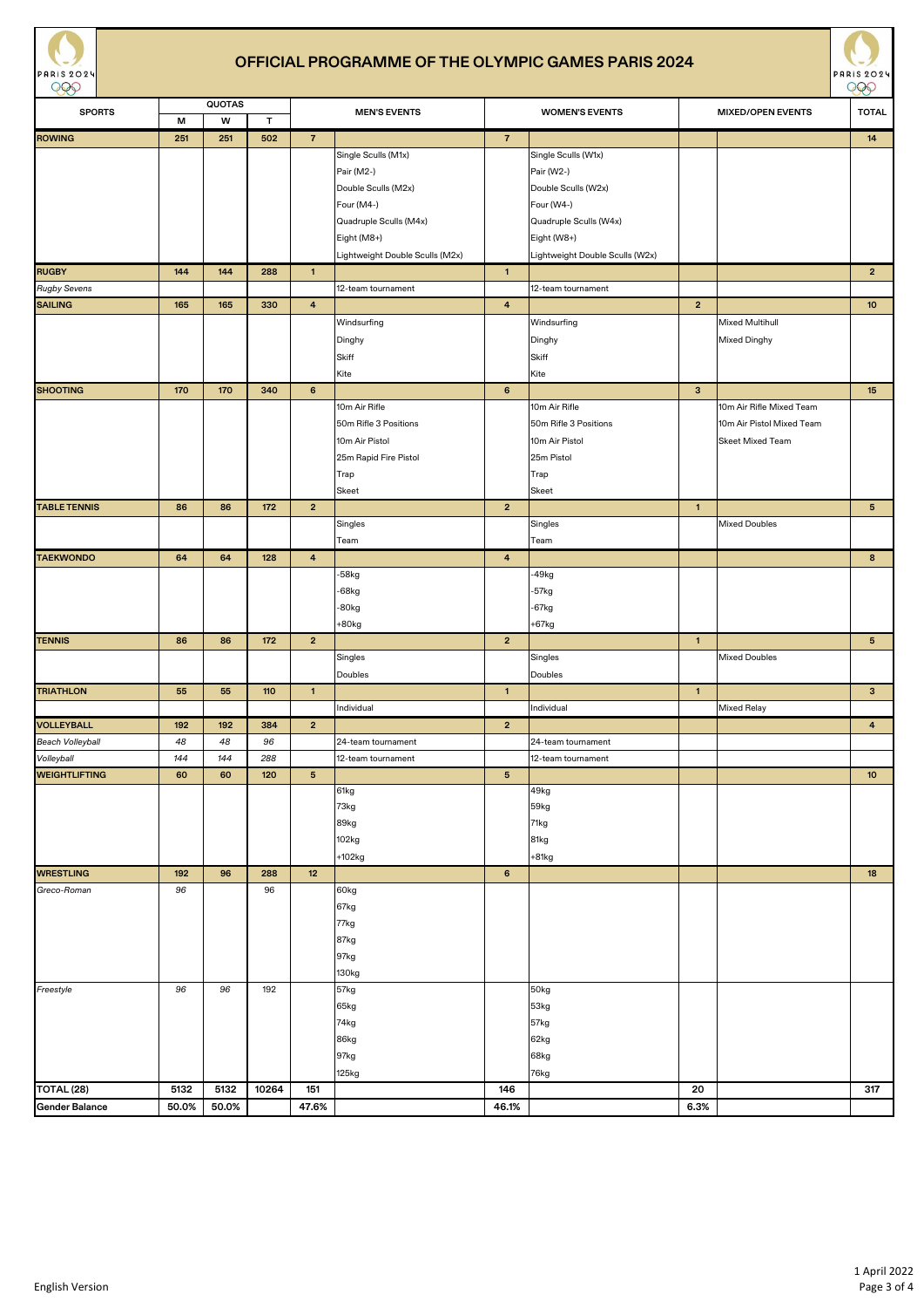



| $\smash{\smash{\cup}}\smash{\smash{\cup}}$ | <b>QUOTAS</b> |       |              | $\smash{\smash{\cup}}\smash{\smash{\cup}}$ |                                 |                       |                                 |                |                           |                 |
|--------------------------------------------|---------------|-------|--------------|--------------------------------------------|---------------------------------|-----------------------|---------------------------------|----------------|---------------------------|-----------------|
| <b>SPORTS</b>                              | M             | W     | $\mathsf{T}$ | <b>MEN'S EVENTS</b>                        |                                 | <b>WOMEN'S EVENTS</b> |                                 |                | <b>TOTAL</b>              |                 |
|                                            |               |       |              |                                            |                                 |                       |                                 |                |                           |                 |
| <b>ROWING</b>                              | 251           | 251   | 502          | $\overline{7}$                             |                                 | $\overline{7}$        |                                 |                |                           | 14              |
|                                            |               |       |              |                                            | Single Sculls (M1x)             |                       | Single Sculls (W1x)             |                |                           |                 |
|                                            |               |       |              |                                            | Pair (M2-)                      |                       | Pair (W2-)                      |                |                           |                 |
|                                            |               |       |              |                                            | Double Sculls (M2x)             |                       | Double Sculls (W2x)             |                |                           |                 |
|                                            |               |       |              |                                            | Four (M4-)                      |                       | Four (W4-)                      |                |                           |                 |
|                                            |               |       |              |                                            | Quadruple Sculls (M4x)          |                       | Quadruple Sculls (W4x)          |                |                           |                 |
|                                            |               |       |              |                                            |                                 |                       |                                 |                |                           |                 |
|                                            |               |       |              |                                            | Eight (M8+)                     |                       | Eight (W8+)                     |                |                           |                 |
|                                            |               |       |              |                                            | Lightweight Double Sculls (M2x) |                       | Lightweight Double Sculls (W2x) |                |                           |                 |
| <b>RUGBY</b>                               | 144           | 144   | 288          | $\mathbf{1}$                               |                                 | $\mathbf{1}$          |                                 |                |                           | $2^{\circ}$     |
| <b>Rugby Sevens</b>                        |               |       |              |                                            | 12-team tournament              |                       | 12-team tournament              |                |                           |                 |
| <b>SAILING</b>                             | 165           | 165   | 330          | $\overline{4}$                             |                                 | $\overline{4}$        |                                 | $\overline{2}$ |                           | 10 <sup>°</sup> |
|                                            |               |       |              |                                            | Windsurfing                     |                       | Windsurfing                     |                | <b>Mixed Multihull</b>    |                 |
|                                            |               |       |              |                                            | Dinghy                          |                       | Dinghy                          |                | <b>Mixed Dinghy</b>       |                 |
|                                            |               |       |              |                                            |                                 |                       |                                 |                |                           |                 |
|                                            |               |       |              |                                            | Skiff                           |                       | Skiff                           |                |                           |                 |
|                                            |               |       |              |                                            | Kite                            |                       | Kite                            |                |                           |                 |
| <b>SHOOTING</b>                            | 170           | 170   | 340          | 6                                          |                                 | $6\phantom{1}$        |                                 | $\mathbf{3}$   |                           | 15              |
|                                            |               |       |              |                                            | 10m Air Rifle                   |                       | 10m Air Rifle                   |                | 10m Air Rifle Mixed Team  |                 |
|                                            |               |       |              |                                            | 50m Rifle 3 Positions           |                       | 50m Rifle 3 Positions           |                | 10m Air Pistol Mixed Team |                 |
|                                            |               |       |              |                                            | 10m Air Pistol                  |                       | 10m Air Pistol                  |                | <b>Skeet Mixed Team</b>   |                 |
|                                            |               |       |              |                                            | 25m Rapid Fire Pistol           |                       | 25m Pistol                      |                |                           |                 |
|                                            |               |       |              |                                            |                                 |                       |                                 |                |                           |                 |
|                                            |               |       |              |                                            | Trap                            |                       | Trap                            |                |                           |                 |
|                                            |               |       |              |                                            | Skeet                           |                       | Skeet                           |                |                           |                 |
| <b>TABLE TENNIS</b>                        | 86            | 86    | 172          | $\overline{2}$                             |                                 | $\overline{2}$        |                                 | $\overline{1}$ |                           | 5 <sub>5</sub>  |
|                                            |               |       |              |                                            | Singles                         |                       | Singles                         |                | <b>Mixed Doubles</b>      |                 |
|                                            |               |       |              |                                            | Team                            |                       | Team                            |                |                           |                 |
| <b>TAEKWONDO</b>                           | 64            | 64    | 128          | $\overline{4}$                             |                                 | $\overline{4}$        |                                 |                |                           | 8               |
|                                            |               |       |              |                                            | -58kg                           |                       | $-49kg$                         |                |                           |                 |
|                                            |               |       |              |                                            |                                 |                       |                                 |                |                           |                 |
|                                            |               |       |              |                                            | $-68$ kg                        |                       | $-57kg$                         |                |                           |                 |
|                                            |               |       |              |                                            | $-80kg$                         |                       | $-67kg$                         |                |                           |                 |
|                                            |               |       |              |                                            | $+80kg$                         |                       | $+67kg$                         |                |                           |                 |
| <b>TENNIS</b>                              | 86            | 86    | 172          | $\overline{2}$                             |                                 | $\overline{2}$        |                                 | $\overline{1}$ |                           | 5 <sub>1</sub>  |
|                                            |               |       |              |                                            | Singles                         |                       | Singles                         |                | <b>Mixed Doubles</b>      |                 |
|                                            |               |       |              |                                            | Doubles                         |                       | Doubles                         |                |                           |                 |
| <b>TRIATHLON</b>                           | 55            | 55    | 110          | $\mathbf{1}$                               |                                 | $\mathbf{1}$          |                                 | $\overline{1}$ |                           | 3 <sup>1</sup>  |
|                                            |               |       |              |                                            | Individual                      |                       | Individual                      |                | <b>Mixed Relay</b>        |                 |
|                                            |               |       |              |                                            |                                 |                       |                                 |                |                           |                 |
| <b>VOLLEYBALL</b>                          | 192           | 192   | 384          | $\overline{2}$                             |                                 | $\overline{2}$        |                                 |                |                           | $\overline{4}$  |
| <b>Beach Volleyball</b>                    | 48            | 48    | 96           |                                            | 24-team tournament              |                       | 24-team tournament              |                |                           |                 |
| Volleyball                                 | 144           | 144   | 288          |                                            | 12-team tournament              |                       | 12-team tournament              |                |                           |                 |
| <b>WEIGHTLIFTING</b>                       | 60            | 60    | 120          | $5\phantom{.0}$                            |                                 | $5\phantom{.0}$       |                                 |                |                           | 10 <sup>°</sup> |
|                                            |               |       |              |                                            | 61kg                            |                       | 49kg                            |                |                           |                 |
|                                            |               |       |              |                                            | 73kg                            |                       | 59kg                            |                |                           |                 |
|                                            |               |       |              |                                            | 89kg                            |                       | 71kg                            |                |                           |                 |
|                                            |               |       |              |                                            | 102kg                           |                       | 81kg                            |                |                           |                 |
|                                            |               |       |              |                                            | $+102kg$                        |                       | $+81kg$                         |                |                           |                 |
|                                            |               |       |              |                                            |                                 |                       |                                 |                |                           |                 |
| <b>WRESTLING</b>                           | 192           | 96    | 288          | 12                                         |                                 | $6\phantom{.}6$       |                                 |                |                           | 18              |
| Greco-Roman                                | 96            |       | 96           |                                            | 60kg                            |                       |                                 |                |                           |                 |
|                                            |               |       |              |                                            | 67kg                            |                       |                                 |                |                           |                 |
|                                            |               |       |              |                                            | 77kg                            |                       |                                 |                |                           |                 |
|                                            |               |       |              |                                            | 87kg                            |                       |                                 |                |                           |                 |
|                                            |               |       |              |                                            | 97kg                            |                       |                                 |                |                           |                 |
|                                            |               |       |              |                                            | 130kg                           |                       |                                 |                |                           |                 |
| Freestyle                                  | 96            | 96    | 192          |                                            | 57kg                            |                       | 50kg                            |                |                           |                 |
|                                            |               |       |              |                                            |                                 |                       |                                 |                |                           |                 |
|                                            |               |       |              |                                            | 65kg                            |                       | 53kg                            |                |                           |                 |
|                                            |               |       |              |                                            | 74kg                            |                       | 57kg                            |                |                           |                 |
|                                            |               |       |              |                                            | 86kg                            |                       | 62kg                            |                |                           |                 |
|                                            |               |       |              |                                            | 97kg                            |                       | 68kg                            |                |                           |                 |
|                                            |               |       |              |                                            | 125kg                           |                       | 76kg                            |                |                           |                 |
| TOTAL <sub>(28)</sub>                      | 5132          | 5132  | 10264        | 151                                        |                                 | 146                   |                                 | 20             |                           | 317             |
| <b>Gender Balance</b>                      | 50.0%         | 50.0% |              | 47.6%                                      |                                 | 46.1%                 |                                 | 6.3%           |                           |                 |
|                                            |               |       |              |                                            |                                 |                       |                                 |                |                           |                 |